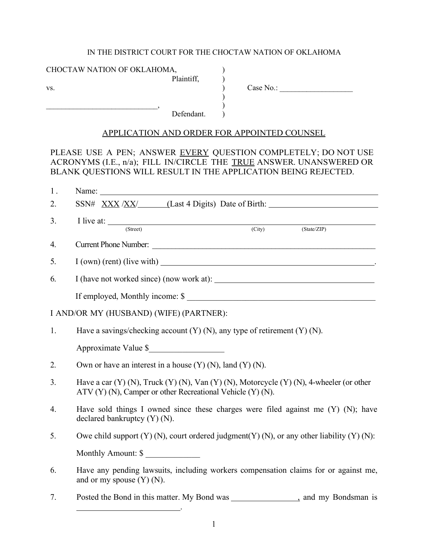#### IN THE DISTRICT COURT FOR THE CHOCTAW NATION OF OKLAHOMA

| CHOCTAW NATION OF OKLAHOMA, |  |
|-----------------------------|--|
| Plaintiff,                  |  |

 $\, , \qquad \qquad )$ 

vs.  $\qquad \qquad$   $\qquad \qquad$   $\qquad \qquad$   $\qquad \qquad$   $\qquad \qquad$   $\qquad \qquad$   $\qquad \qquad$   $\qquad \qquad$   $\qquad \qquad$   $\qquad \qquad$   $\qquad \qquad$   $\qquad \qquad$   $\qquad \qquad$   $\qquad \qquad$   $\qquad \qquad$   $\qquad \qquad$   $\qquad \qquad$   $\qquad \qquad$   $\qquad \qquad$   $\qquad \qquad$   $\qquad \qquad$   $\qquad \qquad$   $\qquad \qquad$   $\qquad \qquad$ 

Defendant.

#### APPLICATION AND ORDER FOR APPOINTED COUNSEL

)<br>)<br>)<br>)

PLEASE USE A PEN; ANSWER EVERY QUESTION COMPLETELY; DO NOT USE ACRONYMS (I.E., n/a); FILL IN/CIRCLE THE TRUE ANSWER. UNANSWERED OR BLANK QUESTIONS WILL RESULT IN THE APPLICATION BEING REJECTED.

| 1.                                      |                                                                                                                                                               |
|-----------------------------------------|---------------------------------------------------------------------------------------------------------------------------------------------------------------|
| 2.                                      |                                                                                                                                                               |
| 3.                                      | I live at: $\frac{C_{\text{t}}}{C_{\text{t}}(x)}$<br>(State/ZIP)                                                                                              |
| 4.                                      | Current Phone Number:                                                                                                                                         |
| 5.                                      | I (own) (rent) (live with)                                                                                                                                    |
| 6.                                      |                                                                                                                                                               |
|                                         | If employed, Monthly income: \$                                                                                                                               |
| I AND/OR MY (HUSBAND) (WIFE) (PARTNER): |                                                                                                                                                               |
| 1.                                      | Have a savings/checking account $(Y)$ (N), any type of retirement $(Y)$ (N).                                                                                  |
|                                         | Approximate Value \$                                                                                                                                          |
| 2.                                      | Own or have an interest in a house $(Y)$ (N), land $(Y)$ (N).                                                                                                 |
| 3 <sub>1</sub>                          | Have a car $(Y)$ (N), Truck $(Y)$ (N), Van $(Y)$ (N), Motorcycle $(Y)$ (N), 4-wheeler (or other<br>ATV (Y) (N), Camper or other Recreational Vehicle (Y) (N). |
| $\overline{4}$ .                        | Have sold things I owned since these charges were filed against me $(Y)$ $(N)$ ; have<br>declared bankruptcy $(Y)$ $(N)$ .                                    |
| 5.                                      | Owe child support $(Y)$ (N), court ordered judgment $(Y)$ (N), or any other liability $(Y)$ (N):                                                              |
|                                         | Monthly Amount: \$                                                                                                                                            |
| 6.                                      | Have any pending lawsuits, including workers compensation claims for or against me,<br>and or my spouse $(Y)$ $(N)$ .                                         |

7. Posted the Bond in this matter. My Bond was , and my Bondsman is

.